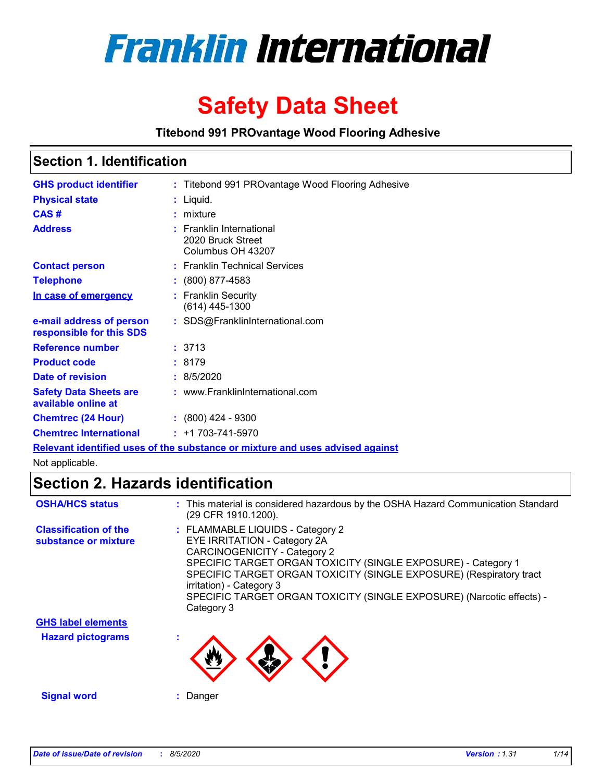

# **Safety Data Sheet**

**Titebond 991 PROvantage Wood Flooring Adhesive**

# **Section 1. Identification**

| <b>GHS product identifier</b>                        | : Titebond 991 PROvantage Wood Flooring Adhesive                   |
|------------------------------------------------------|--------------------------------------------------------------------|
| <b>Physical state</b>                                | : Liquid.                                                          |
| CAS#                                                 | $:$ mixture                                                        |
| <b>Address</b>                                       | : Franklin International<br>2020 Bruck Street<br>Columbus OH 43207 |
| <b>Contact person</b>                                | : Franklin Technical Services                                      |
| <b>Telephone</b>                                     | $: (800) 877-4583$                                                 |
| In case of emergency                                 | : Franklin Security<br>$(614)$ 445-1300                            |
| e-mail address of person<br>responsible for this SDS | : SDS@FranklinInternational.com                                    |
| <b>Reference number</b>                              | :3713                                                              |
| <b>Product code</b>                                  | :8179                                                              |
| <b>Date of revision</b>                              | : 8/5/2020                                                         |
| <b>Safety Data Sheets are</b><br>available online at | : www.FranklinInternational.com                                    |
| <b>Chemtrec (24 Hour)</b>                            | $: (800)$ 424 - 9300                                               |
| <b>Chemtrec International</b>                        | $: +1703 - 741 - 5970$                                             |
|                                                      |                                                                    |

**Relevant identified uses of the substance or mixture and uses advised against**

Not applicable.

# **Section 2. Hazards identification**

| <b>OSHA/HCS status</b>                               | : This material is considered hazardous by the OSHA Hazard Communication Standard<br>(29 CFR 1910.1200).                                                                                                                                                                                                                                                           |
|------------------------------------------------------|--------------------------------------------------------------------------------------------------------------------------------------------------------------------------------------------------------------------------------------------------------------------------------------------------------------------------------------------------------------------|
| <b>Classification of the</b><br>substance or mixture | : FLAMMABLE LIQUIDS - Category 2<br>EYE IRRITATION - Category 2A<br><b>CARCINOGENICITY - Category 2</b><br>SPECIFIC TARGET ORGAN TOXICITY (SINGLE EXPOSURE) - Category 1<br>SPECIFIC TARGET ORGAN TOXICITY (SINGLE EXPOSURE) (Respiratory tract<br>irritation) - Category 3<br>SPECIFIC TARGET ORGAN TOXICITY (SINGLE EXPOSURE) (Narcotic effects) -<br>Category 3 |
| <b>GHS label elements</b>                            |                                                                                                                                                                                                                                                                                                                                                                    |
| <b>Hazard pictograms</b>                             |                                                                                                                                                                                                                                                                                                                                                                    |
| <b>Signal word</b>                                   | : Danger                                                                                                                                                                                                                                                                                                                                                           |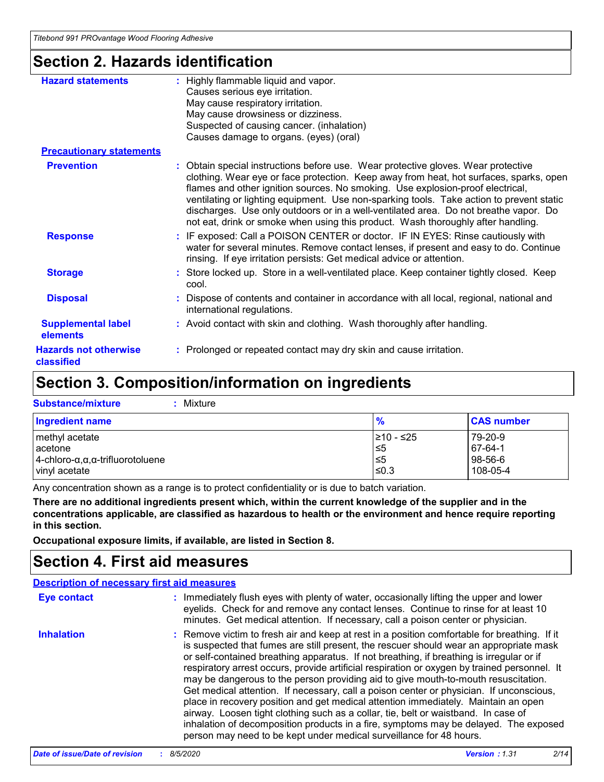# **Section 2. Hazards identification**

| <b>Hazard statements</b>                   | : Highly flammable liquid and vapor.<br>Causes serious eye irritation.<br>May cause respiratory irritation.<br>May cause drowsiness or dizziness.<br>Suspected of causing cancer. (inhalation)<br>Causes damage to organs. (eyes) (oral)                                                                                                                                                                                                                                                                                              |
|--------------------------------------------|---------------------------------------------------------------------------------------------------------------------------------------------------------------------------------------------------------------------------------------------------------------------------------------------------------------------------------------------------------------------------------------------------------------------------------------------------------------------------------------------------------------------------------------|
| <b>Precautionary statements</b>            |                                                                                                                                                                                                                                                                                                                                                                                                                                                                                                                                       |
| <b>Prevention</b>                          | : Obtain special instructions before use. Wear protective gloves. Wear protective<br>clothing. Wear eye or face protection. Keep away from heat, hot surfaces, sparks, open<br>flames and other ignition sources. No smoking. Use explosion-proof electrical,<br>ventilating or lighting equipment. Use non-sparking tools. Take action to prevent static<br>discharges. Use only outdoors or in a well-ventilated area. Do not breathe vapor. Do<br>not eat, drink or smoke when using this product. Wash thoroughly after handling. |
| <b>Response</b>                            | : IF exposed: Call a POISON CENTER or doctor. IF IN EYES: Rinse cautiously with<br>water for several minutes. Remove contact lenses, if present and easy to do. Continue<br>rinsing. If eye irritation persists: Get medical advice or attention.                                                                                                                                                                                                                                                                                     |
| <b>Storage</b>                             | : Store locked up. Store in a well-ventilated place. Keep container tightly closed. Keep<br>cool.                                                                                                                                                                                                                                                                                                                                                                                                                                     |
| <b>Disposal</b>                            | : Dispose of contents and container in accordance with all local, regional, national and<br>international regulations.                                                                                                                                                                                                                                                                                                                                                                                                                |
| <b>Supplemental label</b><br>elements      | : Avoid contact with skin and clothing. Wash thoroughly after handling.                                                                                                                                                                                                                                                                                                                                                                                                                                                               |
| <b>Hazards not otherwise</b><br>classified | : Prolonged or repeated contact may dry skin and cause irritation.                                                                                                                                                                                                                                                                                                                                                                                                                                                                    |

# **Section 3. Composition/information on ingredients**

| <b>Substance/mixture</b><br>: Mixture                   |               |                   |
|---------------------------------------------------------|---------------|-------------------|
| Ingredient name                                         | $\frac{9}{6}$ | <b>CAS number</b> |
| methyl acetate                                          | I≥10 - ≤25    | 79-20-9           |
| lacetone                                                | 5≤ا           | 67-64-1           |
| $4$ -chloro- $\alpha, \alpha, \alpha$ -trifluorotoluene | 5⊵            | 98-56-6           |
| vinyl acetate                                           | $≤0.3$        | 108-05-4          |

Any concentration shown as a range is to protect confidentiality or is due to batch variation.

**There are no additional ingredients present which, within the current knowledge of the supplier and in the concentrations applicable, are classified as hazardous to health or the environment and hence require reporting in this section.**

**Occupational exposure limits, if available, are listed in Section 8.**

# **Section 4. First aid measures**

|                   | <b>Description of necessary first aid measures</b>                                                                                                                                                                                                                                                                                                                                                                                                                                                                                                                                                                                                                                                                                                                                                                                                                                                             |
|-------------------|----------------------------------------------------------------------------------------------------------------------------------------------------------------------------------------------------------------------------------------------------------------------------------------------------------------------------------------------------------------------------------------------------------------------------------------------------------------------------------------------------------------------------------------------------------------------------------------------------------------------------------------------------------------------------------------------------------------------------------------------------------------------------------------------------------------------------------------------------------------------------------------------------------------|
| Eye contact       | : Immediately flush eyes with plenty of water, occasionally lifting the upper and lower<br>eyelids. Check for and remove any contact lenses. Continue to rinse for at least 10<br>minutes. Get medical attention. If necessary, call a poison center or physician.                                                                                                                                                                                                                                                                                                                                                                                                                                                                                                                                                                                                                                             |
| <b>Inhalation</b> | : Remove victim to fresh air and keep at rest in a position comfortable for breathing. If it<br>is suspected that fumes are still present, the rescuer should wear an appropriate mask<br>or self-contained breathing apparatus. If not breathing, if breathing is irregular or if<br>respiratory arrest occurs, provide artificial respiration or oxygen by trained personnel. It<br>may be dangerous to the person providing aid to give mouth-to-mouth resuscitation.<br>Get medical attention. If necessary, call a poison center or physician. If unconscious,<br>place in recovery position and get medical attention immediately. Maintain an open<br>airway. Loosen tight clothing such as a collar, tie, belt or waistband. In case of<br>inhalation of decomposition products in a fire, symptoms may be delayed. The exposed<br>person may need to be kept under medical surveillance for 48 hours. |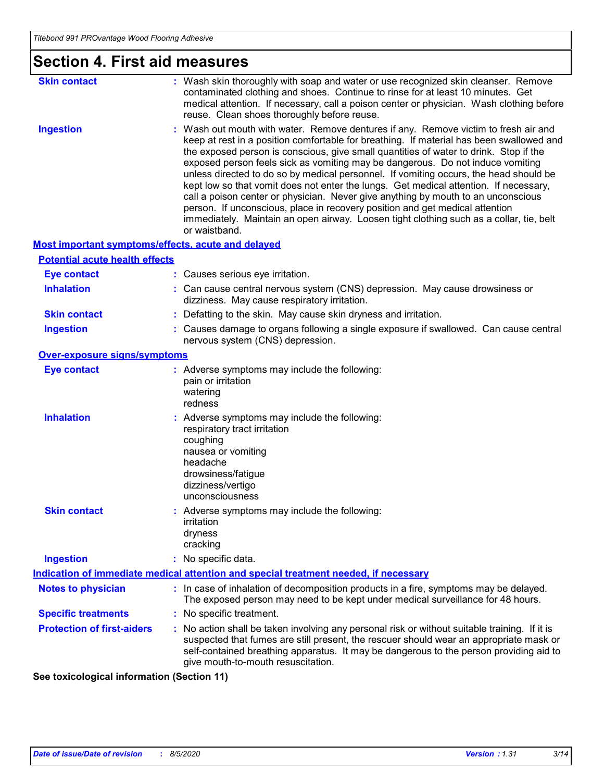| <b>Section 4. First aid measures</b>               |                                                                                                                                                                                                                                                                                                                                                                                                                                                                                                                                                                                                                                                                                                                                                                                                                               |  |
|----------------------------------------------------|-------------------------------------------------------------------------------------------------------------------------------------------------------------------------------------------------------------------------------------------------------------------------------------------------------------------------------------------------------------------------------------------------------------------------------------------------------------------------------------------------------------------------------------------------------------------------------------------------------------------------------------------------------------------------------------------------------------------------------------------------------------------------------------------------------------------------------|--|
| <b>Skin contact</b>                                | : Wash skin thoroughly with soap and water or use recognized skin cleanser. Remove<br>contaminated clothing and shoes. Continue to rinse for at least 10 minutes. Get<br>medical attention. If necessary, call a poison center or physician. Wash clothing before<br>reuse. Clean shoes thoroughly before reuse.                                                                                                                                                                                                                                                                                                                                                                                                                                                                                                              |  |
| <b>Ingestion</b>                                   | : Wash out mouth with water. Remove dentures if any. Remove victim to fresh air and<br>keep at rest in a position comfortable for breathing. If material has been swallowed and<br>the exposed person is conscious, give small quantities of water to drink. Stop if the<br>exposed person feels sick as vomiting may be dangerous. Do not induce vomiting<br>unless directed to do so by medical personnel. If vomiting occurs, the head should be<br>kept low so that vomit does not enter the lungs. Get medical attention. If necessary,<br>call a poison center or physician. Never give anything by mouth to an unconscious<br>person. If unconscious, place in recovery position and get medical attention<br>immediately. Maintain an open airway. Loosen tight clothing such as a collar, tie, belt<br>or waistband. |  |
| Most important symptoms/effects, acute and delayed |                                                                                                                                                                                                                                                                                                                                                                                                                                                                                                                                                                                                                                                                                                                                                                                                                               |  |
| <b>Potential acute health effects</b>              |                                                                                                                                                                                                                                                                                                                                                                                                                                                                                                                                                                                                                                                                                                                                                                                                                               |  |
| <b>Eye contact</b>                                 | : Causes serious eye irritation.                                                                                                                                                                                                                                                                                                                                                                                                                                                                                                                                                                                                                                                                                                                                                                                              |  |
| <b>Inhalation</b>                                  | : Can cause central nervous system (CNS) depression. May cause drowsiness or<br>dizziness. May cause respiratory irritation.                                                                                                                                                                                                                                                                                                                                                                                                                                                                                                                                                                                                                                                                                                  |  |
| <b>Skin contact</b>                                | : Defatting to the skin. May cause skin dryness and irritation.                                                                                                                                                                                                                                                                                                                                                                                                                                                                                                                                                                                                                                                                                                                                                               |  |
| <b>Ingestion</b>                                   | : Causes damage to organs following a single exposure if swallowed. Can cause central<br>nervous system (CNS) depression.                                                                                                                                                                                                                                                                                                                                                                                                                                                                                                                                                                                                                                                                                                     |  |
| Over-exposure signs/symptoms                       |                                                                                                                                                                                                                                                                                                                                                                                                                                                                                                                                                                                                                                                                                                                                                                                                                               |  |
| <b>Eye contact</b>                                 | : Adverse symptoms may include the following:<br>pain or irritation<br>watering<br>redness                                                                                                                                                                                                                                                                                                                                                                                                                                                                                                                                                                                                                                                                                                                                    |  |
| <b>Inhalation</b>                                  | : Adverse symptoms may include the following:<br>respiratory tract irritation<br>coughing<br>nausea or vomiting<br>headache<br>drowsiness/fatigue<br>dizziness/vertigo<br>unconsciousness                                                                                                                                                                                                                                                                                                                                                                                                                                                                                                                                                                                                                                     |  |
| <b>Skin contact</b>                                | : Adverse symptoms may include the following:<br>irritation<br>dryness<br>cracking                                                                                                                                                                                                                                                                                                                                                                                                                                                                                                                                                                                                                                                                                                                                            |  |
| <b>Ingestion</b>                                   | : No specific data.                                                                                                                                                                                                                                                                                                                                                                                                                                                                                                                                                                                                                                                                                                                                                                                                           |  |
|                                                    | <b>Indication of immediate medical attention and special treatment needed, if necessary</b>                                                                                                                                                                                                                                                                                                                                                                                                                                                                                                                                                                                                                                                                                                                                   |  |
| <b>Notes to physician</b>                          | : In case of inhalation of decomposition products in a fire, symptoms may be delayed.<br>The exposed person may need to be kept under medical surveillance for 48 hours.                                                                                                                                                                                                                                                                                                                                                                                                                                                                                                                                                                                                                                                      |  |
| <b>Specific treatments</b>                         | : No specific treatment.                                                                                                                                                                                                                                                                                                                                                                                                                                                                                                                                                                                                                                                                                                                                                                                                      |  |
| <b>Protection of first-aiders</b>                  | : No action shall be taken involving any personal risk or without suitable training. If it is<br>suspected that fumes are still present, the rescuer should wear an appropriate mask or<br>self-contained breathing apparatus. It may be dangerous to the person providing aid to<br>give mouth-to-mouth resuscitation.                                                                                                                                                                                                                                                                                                                                                                                                                                                                                                       |  |

**See toxicological information (Section 11)**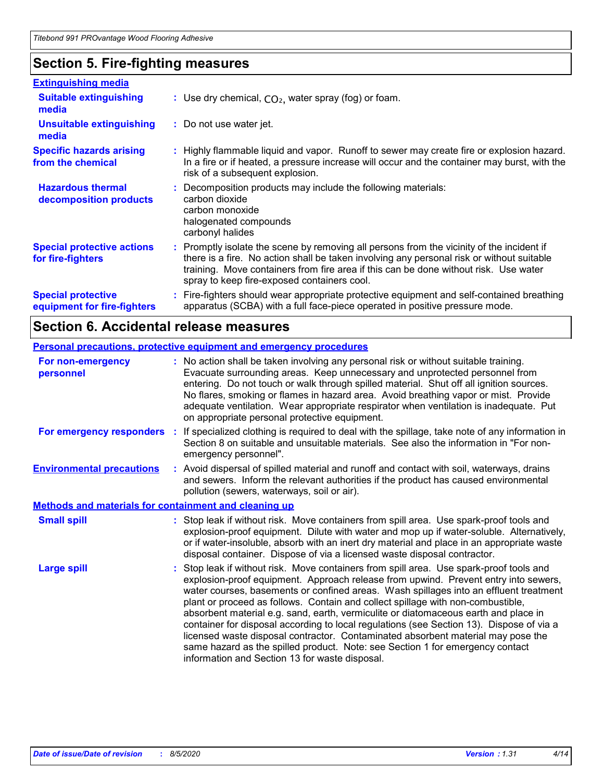# **Section 5. Fire-fighting measures**

| <b>Extinguishing media</b>                               |                                                                                                                                                                                                                                                                                                                               |
|----------------------------------------------------------|-------------------------------------------------------------------------------------------------------------------------------------------------------------------------------------------------------------------------------------------------------------------------------------------------------------------------------|
| <b>Suitable extinguishing</b><br>media                   | : Use dry chemical, $CO2$ , water spray (fog) or foam.                                                                                                                                                                                                                                                                        |
| <b>Unsuitable extinguishing</b><br>media                 | : Do not use water jet.                                                                                                                                                                                                                                                                                                       |
| <b>Specific hazards arising</b><br>from the chemical     | : Highly flammable liquid and vapor. Runoff to sewer may create fire or explosion hazard.<br>In a fire or if heated, a pressure increase will occur and the container may burst, with the<br>risk of a subsequent explosion.                                                                                                  |
| <b>Hazardous thermal</b><br>decomposition products       | : Decomposition products may include the following materials:<br>carbon dioxide<br>carbon monoxide<br>halogenated compounds<br>carbonyl halides                                                                                                                                                                               |
| <b>Special protective actions</b><br>for fire-fighters   | : Promptly isolate the scene by removing all persons from the vicinity of the incident if<br>there is a fire. No action shall be taken involving any personal risk or without suitable<br>training. Move containers from fire area if this can be done without risk. Use water<br>spray to keep fire-exposed containers cool. |
| <b>Special protective</b><br>equipment for fire-fighters | : Fire-fighters should wear appropriate protective equipment and self-contained breathing<br>apparatus (SCBA) with a full face-piece operated in positive pressure mode.                                                                                                                                                      |

# **Section 6. Accidental release measures**

| <b>Personal precautions, protective equipment and emergency procedures</b> |                                                                                                                                                                                                                                                                                                                                                                                                                                                                                                                                                                                                                                                                                                                                                                    |  |
|----------------------------------------------------------------------------|--------------------------------------------------------------------------------------------------------------------------------------------------------------------------------------------------------------------------------------------------------------------------------------------------------------------------------------------------------------------------------------------------------------------------------------------------------------------------------------------------------------------------------------------------------------------------------------------------------------------------------------------------------------------------------------------------------------------------------------------------------------------|--|
| For non-emergency<br>personnel                                             | : No action shall be taken involving any personal risk or without suitable training.<br>Evacuate surrounding areas. Keep unnecessary and unprotected personnel from<br>entering. Do not touch or walk through spilled material. Shut off all ignition sources.<br>No flares, smoking or flames in hazard area. Avoid breathing vapor or mist. Provide<br>adequate ventilation. Wear appropriate respirator when ventilation is inadequate. Put<br>on appropriate personal protective equipment.                                                                                                                                                                                                                                                                    |  |
| For emergency responders                                                   | If specialized clothing is required to deal with the spillage, take note of any information in<br>Section 8 on suitable and unsuitable materials. See also the information in "For non-<br>emergency personnel".                                                                                                                                                                                                                                                                                                                                                                                                                                                                                                                                                   |  |
| <b>Environmental precautions</b>                                           | Avoid dispersal of spilled material and runoff and contact with soil, waterways, drains<br>and sewers. Inform the relevant authorities if the product has caused environmental<br>pollution (sewers, waterways, soil or air).                                                                                                                                                                                                                                                                                                                                                                                                                                                                                                                                      |  |
| <b>Methods and materials for containment and cleaning up</b>               |                                                                                                                                                                                                                                                                                                                                                                                                                                                                                                                                                                                                                                                                                                                                                                    |  |
| <b>Small spill</b>                                                         | Stop leak if without risk. Move containers from spill area. Use spark-proof tools and<br>explosion-proof equipment. Dilute with water and mop up if water-soluble. Alternatively,<br>or if water-insoluble, absorb with an inert dry material and place in an appropriate waste<br>disposal container. Dispose of via a licensed waste disposal contractor.                                                                                                                                                                                                                                                                                                                                                                                                        |  |
| <b>Large spill</b>                                                         | Stop leak if without risk. Move containers from spill area. Use spark-proof tools and<br>explosion-proof equipment. Approach release from upwind. Prevent entry into sewers,<br>water courses, basements or confined areas. Wash spillages into an effluent treatment<br>plant or proceed as follows. Contain and collect spillage with non-combustible,<br>absorbent material e.g. sand, earth, vermiculite or diatomaceous earth and place in<br>container for disposal according to local regulations (see Section 13). Dispose of via a<br>licensed waste disposal contractor. Contaminated absorbent material may pose the<br>same hazard as the spilled product. Note: see Section 1 for emergency contact<br>information and Section 13 for waste disposal. |  |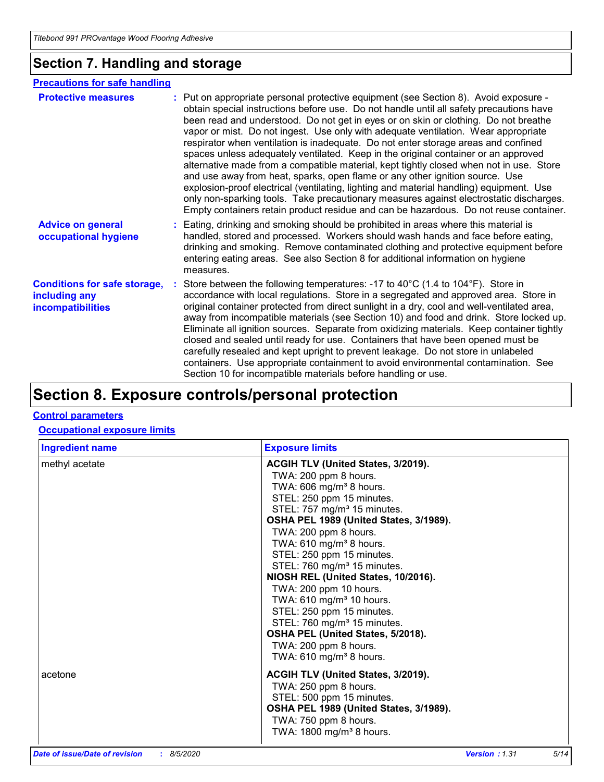# **Section 7. Handling and storage**

#### **Advice on general occupational hygiene Conditions for safe storage, including any incompatibilities** Eating, drinking and smoking should be prohibited in areas where this material is **:** handled, stored and processed. Workers should wash hands and face before eating, drinking and smoking. Remove contaminated clothing and protective equipment before entering eating areas. See also Section 8 for additional information on hygiene measures. Store between the following temperatures: -17 to 40°C (1.4 to 104°F). Store in **:** accordance with local regulations. Store in a segregated and approved area. Store in original container protected from direct sunlight in a dry, cool and well-ventilated area, away from incompatible materials (see Section 10) and food and drink. Store locked up. Eliminate all ignition sources. Separate from oxidizing materials. Keep container tightly closed and sealed until ready for use. Containers that have been opened must be carefully resealed and kept upright to prevent leakage. Do not store in unlabeled containers. Use appropriate containment to avoid environmental contamination. See Section 10 for incompatible materials before handling or use. **Protective measures** : Put on appropriate personal protective equipment (see Section 8). Avoid exposure obtain special instructions before use. Do not handle until all safety precautions have been read and understood. Do not get in eyes or on skin or clothing. Do not breathe vapor or mist. Do not ingest. Use only with adequate ventilation. Wear appropriate respirator when ventilation is inadequate. Do not enter storage areas and confined spaces unless adequately ventilated. Keep in the original container or an approved alternative made from a compatible material, kept tightly closed when not in use. Store and use away from heat, sparks, open flame or any other ignition source. Use explosion-proof electrical (ventilating, lighting and material handling) equipment. Use only non-sparking tools. Take precautionary measures against electrostatic discharges. Empty containers retain product residue and can be hazardous. Do not reuse container. **Precautions for safe handling**

# **Section 8. Exposure controls/personal protection**

### **Control parameters**

### **Occupational exposure limits**

| <b>Ingredient name</b> | <b>Exposure limits</b>                                                                                                                                                                                                                                                                                                                                                                                                                                                                                                                                                                                                                              |
|------------------------|-----------------------------------------------------------------------------------------------------------------------------------------------------------------------------------------------------------------------------------------------------------------------------------------------------------------------------------------------------------------------------------------------------------------------------------------------------------------------------------------------------------------------------------------------------------------------------------------------------------------------------------------------------|
| methyl acetate         | ACGIH TLV (United States, 3/2019).<br>TWA: 200 ppm 8 hours.<br>TWA: $606 \text{ mg/m}^3$ 8 hours.<br>STEL: 250 ppm 15 minutes.<br>STEL: 757 mg/m <sup>3</sup> 15 minutes.<br>OSHA PEL 1989 (United States, 3/1989).<br>TWA: 200 ppm 8 hours.<br>TWA: 610 mg/m <sup>3</sup> 8 hours.<br>STEL: 250 ppm 15 minutes.<br>STEL: 760 mg/m <sup>3</sup> 15 minutes.<br>NIOSH REL (United States, 10/2016).<br>TWA: 200 ppm 10 hours.<br>TWA: 610 mg/m <sup>3</sup> 10 hours.<br>STEL: 250 ppm 15 minutes.<br>STEL: 760 mg/m <sup>3</sup> 15 minutes.<br>OSHA PEL (United States, 5/2018).<br>TWA: 200 ppm 8 hours.<br>TWA: $610$ mg/m <sup>3</sup> 8 hours. |
| acetone                | ACGIH TLV (United States, 3/2019).<br>TWA: 250 ppm 8 hours.<br>STEL: 500 ppm 15 minutes.<br>OSHA PEL 1989 (United States, 3/1989).<br>TWA: 750 ppm 8 hours.<br>TWA: 1800 mg/m <sup>3</sup> 8 hours.                                                                                                                                                                                                                                                                                                                                                                                                                                                 |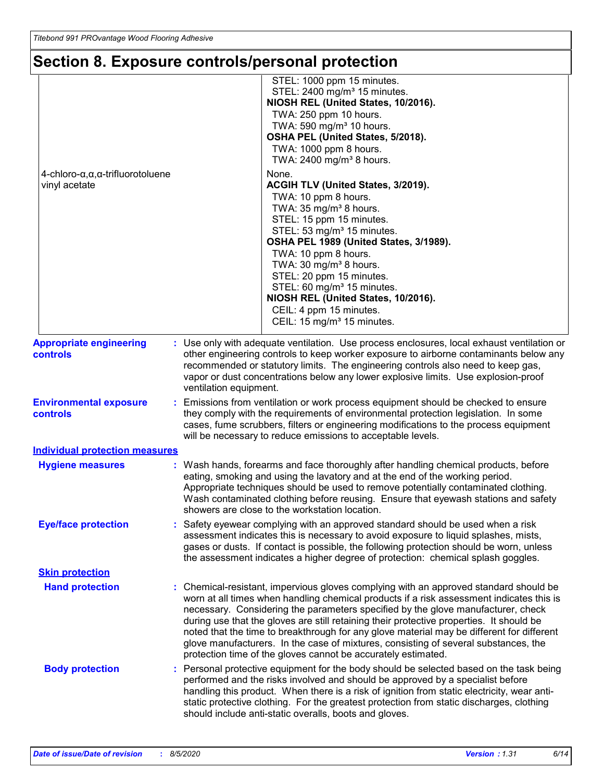# **Section 8. Exposure controls/personal protection**

|                                                                          | STEL: 1000 ppm 15 minutes.<br>STEL: 2400 mg/m <sup>3</sup> 15 minutes.<br>NIOSH REL (United States, 10/2016).<br>TWA: 250 ppm 10 hours.<br>TWA: 590 mg/m <sup>3</sup> 10 hours.<br>OSHA PEL (United States, 5/2018).<br>TWA: 1000 ppm 8 hours.<br>TWA: 2400 mg/m <sup>3</sup> 8 hours.                                                                                                                                                                                                                                                                                                                                 |
|--------------------------------------------------------------------------|------------------------------------------------------------------------------------------------------------------------------------------------------------------------------------------------------------------------------------------------------------------------------------------------------------------------------------------------------------------------------------------------------------------------------------------------------------------------------------------------------------------------------------------------------------------------------------------------------------------------|
| $4$ -chloro- $\alpha, \alpha, \alpha$ -trifluorotoluene<br>vinyl acetate | None.<br>ACGIH TLV (United States, 3/2019).<br>TWA: 10 ppm 8 hours.<br>TWA: 35 mg/m <sup>3</sup> 8 hours.<br>STEL: 15 ppm 15 minutes.<br>STEL: 53 mg/m <sup>3</sup> 15 minutes.<br>OSHA PEL 1989 (United States, 3/1989).<br>TWA: 10 ppm 8 hours.<br>TWA: 30 mg/m <sup>3</sup> 8 hours.<br>STEL: 20 ppm 15 minutes.<br>STEL: 60 mg/m <sup>3</sup> 15 minutes.<br>NIOSH REL (United States, 10/2016).<br>CEIL: 4 ppm 15 minutes.<br>CEIL: 15 mg/m <sup>3</sup> 15 minutes.                                                                                                                                              |
| <b>Appropriate engineering</b><br><b>controls</b>                        | : Use only with adequate ventilation. Use process enclosures, local exhaust ventilation or<br>other engineering controls to keep worker exposure to airborne contaminants below any<br>recommended or statutory limits. The engineering controls also need to keep gas,<br>vapor or dust concentrations below any lower explosive limits. Use explosion-proof                                                                                                                                                                                                                                                          |
| <b>Environmental exposure</b><br>controls                                | ventilation equipment.<br>: Emissions from ventilation or work process equipment should be checked to ensure<br>they comply with the requirements of environmental protection legislation. In some<br>cases, fume scrubbers, filters or engineering modifications to the process equipment<br>will be necessary to reduce emissions to acceptable levels.                                                                                                                                                                                                                                                              |
| <b>Individual protection measures</b><br><b>Hygiene measures</b>         | : Wash hands, forearms and face thoroughly after handling chemical products, before<br>eating, smoking and using the lavatory and at the end of the working period.<br>Appropriate techniques should be used to remove potentially contaminated clothing.<br>Wash contaminated clothing before reusing. Ensure that eyewash stations and safety<br>showers are close to the workstation location.                                                                                                                                                                                                                      |
| <b>Eye/face protection</b>                                               | : Safety eyewear complying with an approved standard should be used when a risk<br>assessment indicates this is necessary to avoid exposure to liquid splashes, mists,<br>gases or dusts. If contact is possible, the following protection should be worn, unless<br>the assessment indicates a higher degree of protection: chemical splash goggles.                                                                                                                                                                                                                                                                  |
| <b>Skin protection</b>                                                   |                                                                                                                                                                                                                                                                                                                                                                                                                                                                                                                                                                                                                        |
| <b>Hand protection</b>                                                   | : Chemical-resistant, impervious gloves complying with an approved standard should be<br>worn at all times when handling chemical products if a risk assessment indicates this is<br>necessary. Considering the parameters specified by the glove manufacturer, check<br>during use that the gloves are still retaining their protective properties. It should be<br>noted that the time to breakthrough for any glove material may be different for different<br>glove manufacturers. In the case of mixtures, consisting of several substances, the<br>protection time of the gloves cannot be accurately estimated. |
| <b>Body protection</b>                                                   | : Personal protective equipment for the body should be selected based on the task being<br>performed and the risks involved and should be approved by a specialist before<br>handling this product. When there is a risk of ignition from static electricity, wear anti-<br>static protective clothing. For the greatest protection from static discharges, clothing<br>should include anti-static overalls, boots and gloves.                                                                                                                                                                                         |
|                                                                          |                                                                                                                                                                                                                                                                                                                                                                                                                                                                                                                                                                                                                        |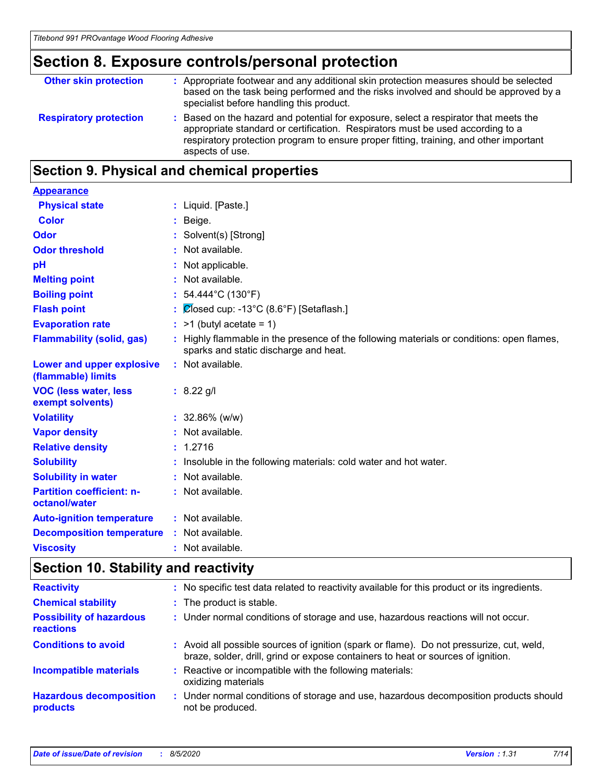# **Section 8. Exposure controls/personal protection**

| <b>Other skin protection</b>  | : Appropriate footwear and any additional skin protection measures should be selected<br>based on the task being performed and the risks involved and should be approved by a<br>specialist before handling this product.                                                           |
|-------------------------------|-------------------------------------------------------------------------------------------------------------------------------------------------------------------------------------------------------------------------------------------------------------------------------------|
| <b>Respiratory protection</b> | : Based on the hazard and potential for exposure, select a respirator that meets the<br>appropriate standard or certification. Respirators must be used according to a<br>respiratory protection program to ensure proper fitting, training, and other important<br>aspects of use. |

# **Section 9. Physical and chemical properties**

| <b>Appearance</b>                                      |                                                                                                                                    |
|--------------------------------------------------------|------------------------------------------------------------------------------------------------------------------------------------|
| <b>Physical state</b>                                  | $:$ Liquid. [Paste.]                                                                                                               |
| <b>Color</b>                                           | $:$ Beige.                                                                                                                         |
| Odor                                                   | : Solvent(s) [Strong]                                                                                                              |
| <b>Odor threshold</b>                                  | : Not available.                                                                                                                   |
| pH                                                     | : Not applicable.                                                                                                                  |
| <b>Melting point</b>                                   | : Not available.                                                                                                                   |
| <b>Boiling point</b>                                   | : $54.444^{\circ}$ C (130 $^{\circ}$ F)                                                                                            |
| <b>Flash point</b>                                     | : $\overline{\mathcal{O}}$ osed cup: -13°C (8.6°F) [Setaflash.]                                                                    |
| <b>Evaporation rate</b>                                | $:$ >1 (butyl acetate = 1)                                                                                                         |
| <b>Flammability (solid, gas)</b>                       | : Highly flammable in the presence of the following materials or conditions: open flames,<br>sparks and static discharge and heat. |
| <b>Lower and upper explosive</b><br>(flammable) limits | : Not available.                                                                                                                   |
| <b>VOC (less water, less)</b><br>exempt solvents)      | $: 8.22$ g/l                                                                                                                       |
| <b>Volatility</b>                                      | $: 32.86\%$ (w/w)                                                                                                                  |
| <b>Vapor density</b>                                   | : Not available.                                                                                                                   |
| <b>Relative density</b>                                | : 1.2716                                                                                                                           |
| <b>Solubility</b>                                      | : Insoluble in the following materials: cold water and hot water.                                                                  |
| <b>Solubility in water</b>                             | : Not available.                                                                                                                   |
| <b>Partition coefficient: n-</b><br>octanol/water      | : Not available.                                                                                                                   |
| <b>Auto-ignition temperature</b>                       | : Not available.                                                                                                                   |
| <b>Decomposition temperature</b>                       | : Not available.                                                                                                                   |
| <b>Viscosity</b>                                       | : Not available.                                                                                                                   |

# **Section 10. Stability and reactivity**

| <b>Reactivity</b>                                   | No specific test data related to reactivity available for this product or its ingredients.                                                                                   |
|-----------------------------------------------------|------------------------------------------------------------------------------------------------------------------------------------------------------------------------------|
| <b>Chemical stability</b>                           | : The product is stable.                                                                                                                                                     |
| <b>Possibility of hazardous</b><br><b>reactions</b> | : Under normal conditions of storage and use, hazardous reactions will not occur.                                                                                            |
| <b>Conditions to avoid</b>                          | : Avoid all possible sources of ignition (spark or flame). Do not pressurize, cut, weld,<br>braze, solder, drill, grind or expose containers to heat or sources of ignition. |
| <b>Incompatible materials</b>                       | Reactive or incompatible with the following materials:<br>oxidizing materials                                                                                                |
| <b>Hazardous decomposition</b><br>products          | Under normal conditions of storage and use, hazardous decomposition products should<br>not be produced.                                                                      |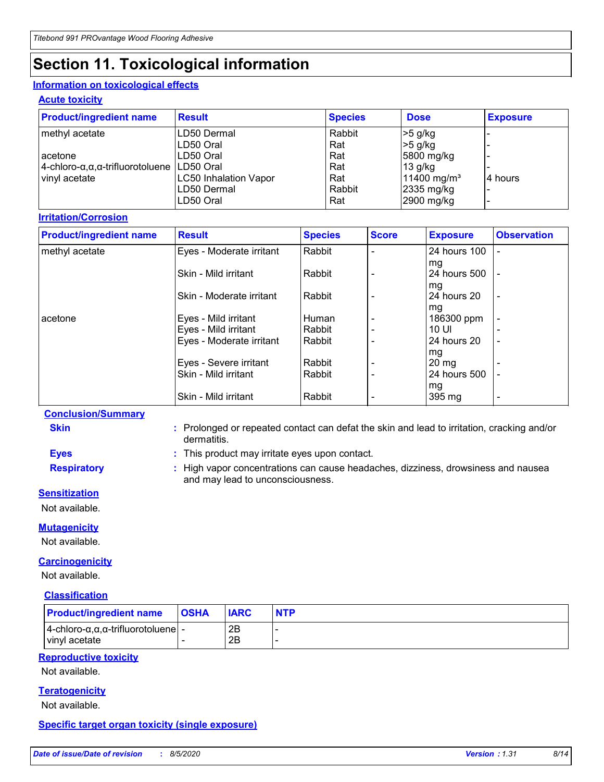# **Section 11. Toxicological information**

### **Information on toxicological effects**

### **Acute toxicity**

| <b>Product/ingredient name</b>              | <b>Result</b>                | <b>Species</b> | <b>Dose</b>             | <b>Exposure</b> |
|---------------------------------------------|------------------------------|----------------|-------------------------|-----------------|
| methyl acetate                              | LD50 Dermal                  | Rabbit         | $>5$ g/kg               |                 |
|                                             | LD50 Oral                    | Rat            | $>5$ g/kg               |                 |
| l acetone                                   | LD50 Oral                    | Rat            | 5800 mg/kg              |                 |
| 4-chloro-α,α,α-trifluorotoluene   LD50 Oral |                              | Rat            | 13 g/kg                 |                 |
| vinyl acetate                               | <b>LC50 Inhalation Vapor</b> | Rat            | 11400 mg/m <sup>3</sup> | 4 hours         |
|                                             | LD50 Dermal                  | Rabbit         | $2335$ mg/kg            |                 |
|                                             | LD50 Oral                    | Rat            | 2900 mg/kg              |                 |

# **Irritation/Corrosion**

| <b>Product/ingredient name</b> | <b>Result</b>            | <b>Species</b> | <b>Score</b>             | <b>Exposure</b>    | <b>Observation</b>       |
|--------------------------------|--------------------------|----------------|--------------------------|--------------------|--------------------------|
| methyl acetate                 | Eyes - Moderate irritant | Rabbit         |                          | 24 hours 100       |                          |
|                                | Skin - Mild irritant     | Rabbit         |                          | mg<br>24 hours 500 | $\overline{\phantom{a}}$ |
|                                | Skin - Moderate irritant | Rabbit         |                          | mg<br>24 hours 20  | $\overline{\phantom{a}}$ |
| acetone                        | Eyes - Mild irritant     | Human          | $\qquad \qquad$          | mg<br>186300 ppm   | $\overline{\phantom{0}}$ |
|                                | Eyes - Mild irritant     | Rabbit         | $\blacksquare$           | 10 UI              |                          |
|                                | Eyes - Moderate irritant | Rabbit         | $\overline{\phantom{0}}$ | 24 hours 20        | $\blacksquare$           |
|                                | Eyes - Severe irritant   | Rabbit         | $\qquad \qquad$          | mg<br>120 mg       |                          |
|                                | Skin - Mild irritant     | Rabbit         |                          | 24 hours 500       |                          |
|                                | Skin - Mild irritant     | Rabbit         | $\overline{\phantom{a}}$ | mg<br>395 mg       | $\overline{\phantom{a}}$ |

### **Conclusion/Summary**

- **Skin :** Prolonged or repeated contact can defat the skin and lead to irritation, cracking and/or dermatitis.
- **Eyes :** This product may irritate eyes upon contact.
- 
- **Respiratory :** High vapor concentrations can cause headaches, dizziness, drowsiness and nausea

and may lead to unconsciousness.

### **Sensitization**

Not available.

### **Mutagenicity**

Not available.

### **Carcinogenicity**

Not available.

### **Classification**

| <b>Product/ingredient name</b>                                                  | <b>OSHA</b> | <b>IARC</b> | <b>NTP</b> |
|---------------------------------------------------------------------------------|-------------|-------------|------------|
| $ 4$ -chloro- $\alpha, \alpha, \alpha$ -trifluorotoluene $ $ -<br>vinyl acetate |             | 2B<br>2B    |            |

# **Reproductive toxicity**

Not available.

# **Teratogenicity**

Not available.

### **Specific target organ toxicity (single exposure)**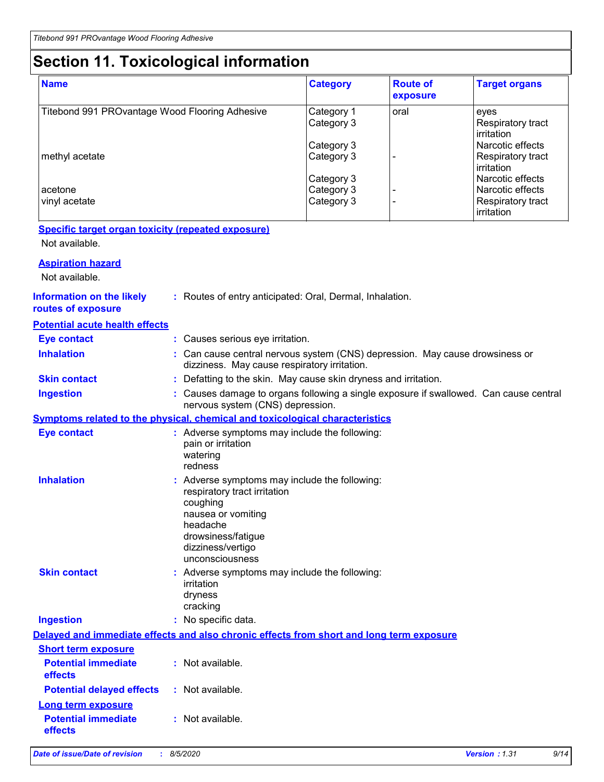# **Section 11. Toxicological information**

| <b>Name</b>                                    | <b>Category</b>          | <b>Route of</b><br>exposure | <b>Target organs</b>                      |
|------------------------------------------------|--------------------------|-----------------------------|-------------------------------------------|
| Titebond 991 PROvantage Wood Flooring Adhesive | Category 1<br>Category 3 | oral                        | eyes<br>Respiratory tract<br>l irritation |
|                                                | Category 3               |                             | Narcotic effects                          |
| methyl acetate                                 | Category 3               |                             | <b>Respiratory tract</b><br>irritation    |
|                                                | Category 3               |                             | Narcotic effects                          |
| acetone                                        | Category 3               |                             | Narcotic effects                          |
| vinyl acetate                                  | Category 3               |                             | Respiratory tract<br>irritation           |

# **Specific target organ toxicity (repeated exposure)**

Not available.

| <b>Aspiration hazard</b>                               |                                                                                                                                                                                           |
|--------------------------------------------------------|-------------------------------------------------------------------------------------------------------------------------------------------------------------------------------------------|
| Not available.                                         |                                                                                                                                                                                           |
| <b>Information on the likely</b><br>routes of exposure | : Routes of entry anticipated: Oral, Dermal, Inhalation.                                                                                                                                  |
| <b>Potential acute health effects</b>                  |                                                                                                                                                                                           |
| <b>Eye contact</b>                                     | : Causes serious eye irritation.                                                                                                                                                          |
| <b>Inhalation</b>                                      | : Can cause central nervous system (CNS) depression. May cause drowsiness or<br>dizziness. May cause respiratory irritation.                                                              |
| <b>Skin contact</b>                                    | : Defatting to the skin. May cause skin dryness and irritation.                                                                                                                           |
| <b>Ingestion</b>                                       | Causes damage to organs following a single exposure if swallowed. Can cause central<br>nervous system (CNS) depression.                                                                   |
|                                                        | Symptoms related to the physical, chemical and toxicological characteristics                                                                                                              |
| <b>Eye contact</b>                                     | : Adverse symptoms may include the following:<br>pain or irritation<br>watering<br>redness                                                                                                |
| <b>Inhalation</b>                                      | : Adverse symptoms may include the following:<br>respiratory tract irritation<br>coughing<br>nausea or vomiting<br>headache<br>drowsiness/fatigue<br>dizziness/vertigo<br>unconsciousness |
| <b>Skin contact</b>                                    | : Adverse symptoms may include the following:<br>irritation<br>dryness<br>cracking                                                                                                        |
| <b>Ingestion</b>                                       | : No specific data.                                                                                                                                                                       |
|                                                        | Delayed and immediate effects and also chronic effects from short and long term exposure                                                                                                  |
| <b>Short term exposure</b>                             |                                                                                                                                                                                           |
| <b>Potential immediate</b><br>effects                  | : Not available.                                                                                                                                                                          |
| <b>Potential delayed effects</b>                       | : Not available.                                                                                                                                                                          |
| Long term exposure                                     |                                                                                                                                                                                           |
| <b>Potential immediate</b><br>effects                  | : Not available.                                                                                                                                                                          |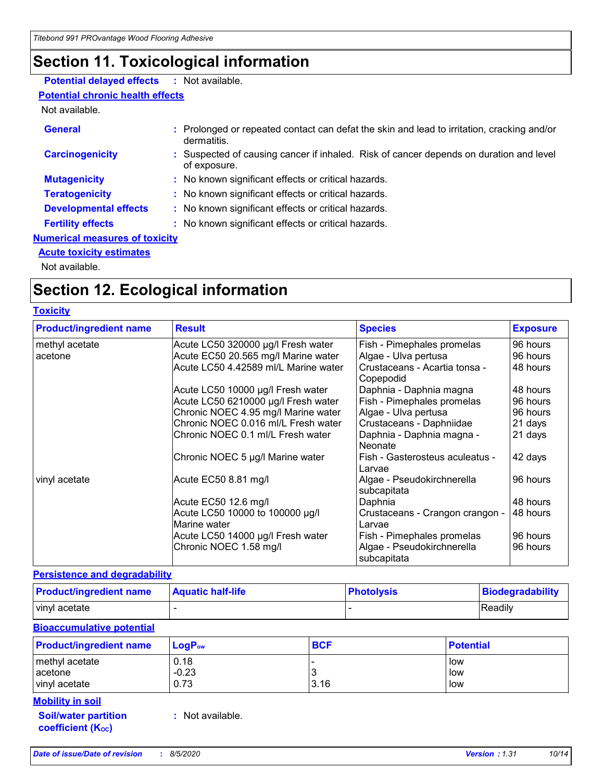# **Section 11. Toxicological information**

# **Potential delayed effects :** Not available.

# **Potential chronic health effects**

Not available.

| <b>General</b>                                                           | : Prolonged or repeated contact can defat the skin and lead to irritation, cracking and/or<br>dermatitis. |  |
|--------------------------------------------------------------------------|-----------------------------------------------------------------------------------------------------------|--|
| <b>Carcinogenicity</b>                                                   | : Suspected of causing cancer if inhaled. Risk of cancer depends on duration and level<br>of exposure.    |  |
| <b>Mutagenicity</b>                                                      | : No known significant effects or critical hazards.                                                       |  |
| <b>Teratogenicity</b>                                                    | : No known significant effects or critical hazards.                                                       |  |
| <b>Developmental effects</b>                                             | : No known significant effects or critical hazards.                                                       |  |
| <b>Fertility effects</b>                                                 | : No known significant effects or critical hazards.                                                       |  |
| <b>Numerical measures of toxicity</b><br><b>Acute toxicity estimates</b> |                                                                                                           |  |

Not available.

# **Section 12. Ecological information**

## **Toxicity**

| <b>Product/ingredient name</b> | <b>Result</b>                                   | <b>Species</b>                             | <b>Exposure</b> |
|--------------------------------|-------------------------------------------------|--------------------------------------------|-----------------|
| methyl acetate                 | Acute LC50 320000 µg/l Fresh water              | Fish - Pimephales promelas                 | 96 hours        |
| acetone                        | Acute EC50 20.565 mg/l Marine water             | Algae - Ulva pertusa                       | 96 hours        |
|                                | Acute LC50 4.42589 ml/L Marine water            | Crustaceans - Acartia tonsa -<br>Copepodid | 48 hours        |
|                                | Acute LC50 10000 µg/l Fresh water               | Daphnia - Daphnia magna                    | 48 hours        |
|                                | Acute LC50 6210000 µg/l Fresh water             | Fish - Pimephales promelas                 | 96 hours        |
|                                | Chronic NOEC 4.95 mg/l Marine water             | Algae - Ulva pertusa                       | 96 hours        |
|                                | Chronic NOEC 0.016 ml/L Fresh water             | Crustaceans - Daphniidae                   | 21 days         |
|                                | Chronic NOEC 0.1 ml/L Fresh water               | Daphnia - Daphnia magna -<br>Neonate       | 21 days         |
|                                | Chronic NOEC 5 µg/l Marine water                | Fish - Gasterosteus aculeatus -<br>Larvae  | 42 days         |
| vinyl acetate                  | Acute EC50 8.81 mg/l                            | Algae - Pseudokirchnerella<br>subcapitata  | 96 hours        |
|                                | Acute EC50 12.6 mg/l                            | Daphnia                                    | 48 hours        |
|                                | Acute LC50 10000 to 100000 µg/l<br>Marine water | Crustaceans - Crangon crangon -<br>Larvae  | 48 hours        |
|                                | Acute LC50 14000 µg/l Fresh water               | Fish - Pimephales promelas                 | 96 hours        |
|                                | Chronic NOEC 1.58 mg/l                          | Algae - Pseudokirchnerella<br>subcapitata  | 96 hours        |

# **Persistence and degradability**

| <b>Product/ingredient name</b> | <b>Aquatic half-life</b> | <b>Photolysis</b> | <b>Biodegradability</b> |
|--------------------------------|--------------------------|-------------------|-------------------------|
| vinyl acetate                  |                          |                   | <b>Readily</b>          |

### **Bioaccumulative potential**

| <b>Product/ingredient name</b> | $LogP_{ow}$ | <b>BCF</b> | <b>Potential</b> |
|--------------------------------|-------------|------------|------------------|
| methyl acetate                 | 0.18        |            | low              |
| acetone                        | $-0.23$     |            | low              |
| vinyl acetate                  | 0.73        | 3.16       | low              |
| <b>Mobility in soil</b>        |             |            |                  |

**Soil/water partition coefficient (KOC)**

**:** Not available.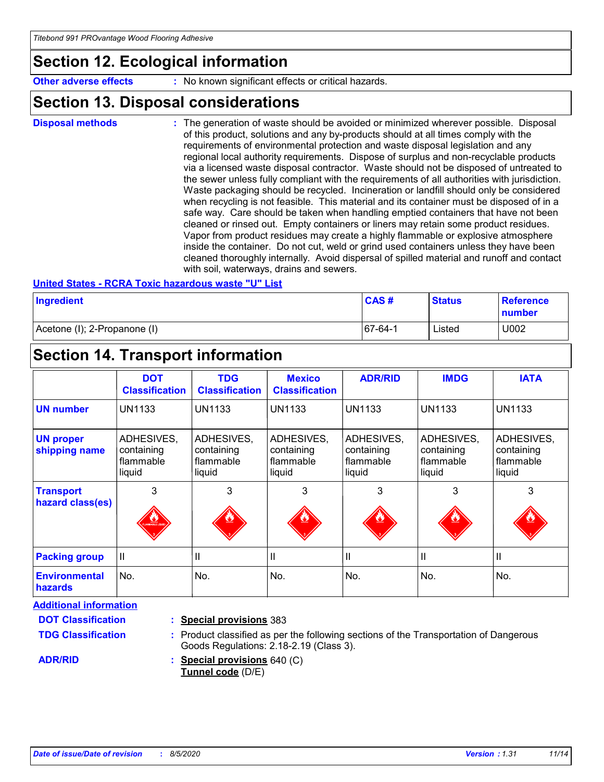# **Section 12. Ecological information**

**Other adverse effects** : No known significant effects or critical hazards.

# **Section 13. Disposal considerations**

The generation of waste should be avoided or minimized wherever possible. Disposal of this product, solutions and any by-products should at all times comply with the requirements of environmental protection and waste disposal legislation and any regional local authority requirements. Dispose of surplus and non-recyclable products via a licensed waste disposal contractor. Waste should not be disposed of untreated to the sewer unless fully compliant with the requirements of all authorities with jurisdiction. Waste packaging should be recycled. Incineration or landfill should only be considered when recycling is not feasible. This material and its container must be disposed of in a safe way. Care should be taken when handling emptied containers that have not been cleaned or rinsed out. Empty containers or liners may retain some product residues. Vapor from product residues may create a highly flammable or explosive atmosphere inside the container. Do not cut, weld or grind used containers unless they have been cleaned thoroughly internally. Avoid dispersal of spilled material and runoff and contact with soil, waterways, drains and sewers. **Disposal methods :**

### **United States - RCRA Toxic hazardous waste "U" List**

| Ingredient                   | CAS#        | <b>Status</b> | <b>Reference</b><br>number |
|------------------------------|-------------|---------------|----------------------------|
| Acetone (I); 2-Propanone (I) | $ 67-64-1 $ | Listed        | U002                       |

# **Section 14. Transport information**

|                                        | <b>DOT</b><br><b>Classification</b>             | <b>TDG</b><br><b>Classification</b>             | <b>Mexico</b><br><b>Classification</b>          | <b>ADR/RID</b>                                  | <b>IMDG</b>                                     | <b>IATA</b>                                     |
|----------------------------------------|-------------------------------------------------|-------------------------------------------------|-------------------------------------------------|-------------------------------------------------|-------------------------------------------------|-------------------------------------------------|
| <b>UN number</b>                       | <b>UN1133</b>                                   | <b>UN1133</b>                                   | <b>UN1133</b>                                   | <b>UN1133</b>                                   | <b>UN1133</b>                                   | <b>UN1133</b>                                   |
| <b>UN proper</b><br>shipping name      | ADHESIVES,<br>containing<br>flammable<br>liquid | ADHESIVES,<br>containing<br>flammable<br>liquid | ADHESIVES,<br>containing<br>flammable<br>liquid | ADHESIVES,<br>containing<br>flammable<br>liquid | ADHESIVES,<br>containing<br>flammable<br>liquid | ADHESIVES,<br>containing<br>flammable<br>liquid |
| <b>Transport</b><br>hazard class(es)   | 3<br><b>LANDRAGE LIGU</b>                       | 3                                               | 3<br><u>ين</u>                                  | 3<br><u>ئىلل</u>                                | 3                                               | 3                                               |
| <b>Packing group</b>                   | Ш                                               | Ш                                               | Ш                                               | Ш                                               | $\mathbf{I}$                                    | Ш                                               |
| <b>Environmental</b><br><b>hazards</b> | No.                                             | No.                                             | No.                                             | No.                                             | No.                                             | No.                                             |

**Additional information**

**DOT Classification**

**TDG Classification**

### **Special provisions** 383 **:**

### Product classified as per the following sections of the Transportation of Dangerous **:** Goods Regulations: 2.18-2.19 (Class 3).

**ADR/RID**

**Special provisions** 640 (C) **: Tunnel code** (D/E)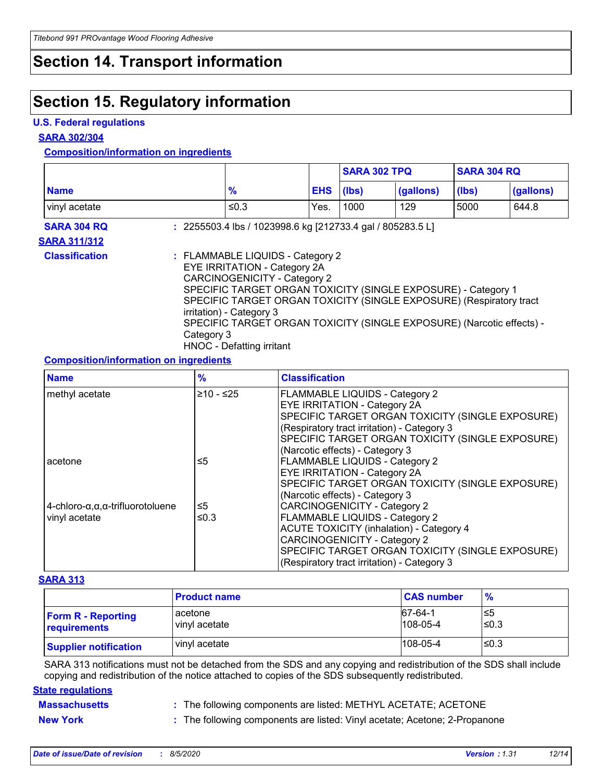# **Section 14. Transport information**

# **Section 15. Regulatory information**

### **U.S. Federal regulations**

**SARA 302/304**

# **Composition/information on ingredients**

|                       |                                                                                                                                                                                                                                                                                                                                                                                                        |                                                            |            | <b>SARA 302 TPQ</b> |           | <b>SARA 304 RQ</b> |           |
|-----------------------|--------------------------------------------------------------------------------------------------------------------------------------------------------------------------------------------------------------------------------------------------------------------------------------------------------------------------------------------------------------------------------------------------------|------------------------------------------------------------|------------|---------------------|-----------|--------------------|-----------|
| <b>Name</b>           |                                                                                                                                                                                                                                                                                                                                                                                                        | $\frac{9}{6}$                                              | <b>EHS</b> | (Ibs)               | (gallons) | (lbs)              | (gallons) |
| vinyl acetate         |                                                                                                                                                                                                                                                                                                                                                                                                        | ≤0.3                                                       | Yes.       | 1000                | 129       | 5000               | 644.8     |
| <b>SARA 304 RQ</b>    |                                                                                                                                                                                                                                                                                                                                                                                                        | : 2255503.4 lbs / 1023998.6 kg [212733.4 gal / 805283.5 L] |            |                     |           |                    |           |
| <b>SARA 311/312</b>   |                                                                                                                                                                                                                                                                                                                                                                                                        |                                                            |            |                     |           |                    |           |
| <b>Classification</b> | : FLAMMABLE LIQUIDS - Category 2<br><b>EYE IRRITATION - Category 2A</b><br><b>CARCINOGENICITY - Category 2</b><br>SPECIFIC TARGET ORGAN TOXICITY (SINGLE EXPOSURE) - Category 1<br>SPECIFIC TARGET ORGAN TOXICITY (SINGLE EXPOSURE) (Respiratory tract<br>irritation) - Category 3<br>SPECIFIC TARGET ORGAN TOXICITY (SINGLE EXPOSURE) (Narcotic effects) -<br>Category 3<br>HNOC - Defatting irritant |                                                            |            |                     |           |                    |           |

# **Composition/information on ingredients**

| <b>Name</b>                                             | $\frac{9}{6}$ | <b>Classification</b>                            |
|---------------------------------------------------------|---------------|--------------------------------------------------|
| methyl acetate                                          | $≥10 - ≤25$   | <b>FLAMMABLE LIQUIDS - Category 2</b>            |
|                                                         |               | <b>EYE IRRITATION - Category 2A</b>              |
|                                                         |               | SPECIFIC TARGET ORGAN TOXICITY (SINGLE EXPOSURE) |
|                                                         |               | (Respiratory tract irritation) - Category 3      |
|                                                         |               | SPECIFIC TARGET ORGAN TOXICITY (SINGLE EXPOSURE) |
|                                                         |               | (Narcotic effects) - Category 3                  |
| acetone                                                 | ≤5            | <b>FLAMMABLE LIQUIDS - Category 2</b>            |
|                                                         |               | <b>EYE IRRITATION - Category 2A</b>              |
|                                                         |               | SPECIFIC TARGET ORGAN TOXICITY (SINGLE EXPOSURE) |
|                                                         |               | (Narcotic effects) - Category 3                  |
| $4$ -chloro- $\alpha, \alpha, \alpha$ -trifluorotoluene | ≤5            | <b>CARCINOGENICITY - Category 2</b>              |
| vinyl acetate                                           | ≤0.3          | <b>FLAMMABLE LIQUIDS - Category 2</b>            |
|                                                         |               | <b>ACUTE TOXICITY (inhalation) - Category 4</b>  |
|                                                         |               | <b>CARCINOGENICITY - Category 2</b>              |
|                                                         |               | SPECIFIC TARGET ORGAN TOXICITY (SINGLE EXPOSURE) |
|                                                         |               | (Respiratory tract irritation) - Category 3      |

### **SARA 313**

|                                           | <b>Product name</b>      | <b>CAS number</b>            | $\frac{9}{6}$ |
|-------------------------------------------|--------------------------|------------------------------|---------------|
| <b>Form R - Reporting</b><br>requirements | acetone<br>vinyl acetate | $ 67-64-1$<br>$108 - 05 - 4$ | 5≥ا<br>l≤0.3  |
| <b>Supplier notification</b>              | vinyl acetate            | $108 - 05 - 4$               | l≤0.3         |

SARA 313 notifications must not be detached from the SDS and any copying and redistribution of the SDS shall include copying and redistribution of the notice attached to copies of the SDS subsequently redistributed.

### **State regulations**

**Massachusetts :** The following components are listed: METHYL ACETATE; ACETONE

**New York :** The following components are listed: Vinyl acetate; Acetone; 2-Propanone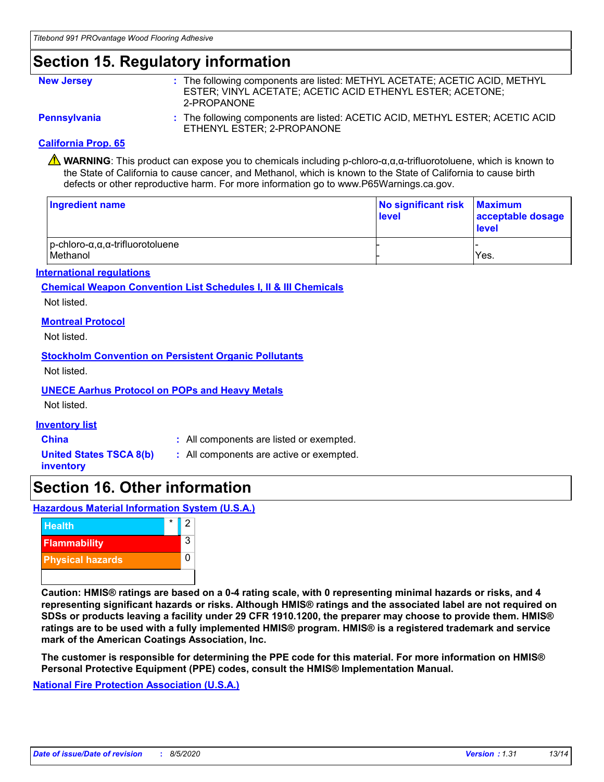# **Section 15. Regulatory information**

| <b>New Jersey</b>   | : The following components are listed: METHYL ACETATE; ACETIC ACID, METHYL<br>ESTER; VINYL ACETATE; ACETIC ACID ETHENYL ESTER; ACETONE;<br>2-PROPANONE |
|---------------------|--------------------------------------------------------------------------------------------------------------------------------------------------------|
| <b>Pennsylvania</b> | : The following components are listed: ACETIC ACID, METHYL ESTER; ACETIC ACID<br>ETHENYL ESTER; 2-PROPANONE                                            |

### **California Prop. 65**

**WARNING**: This product can expose you to chemicals including p-chloro-α,α,α-trifluorotoluene, which is known to the State of California to cause cancer, and Methanol, which is known to the State of California to cause birth defects or other reproductive harm. For more information go to www.P65Warnings.ca.gov.

| Ingredient name                                                      | No significant risk Maximum<br>level | acceptable dosage<br>level |
|----------------------------------------------------------------------|--------------------------------------|----------------------------|
| $ p$ -chloro- $\alpha, \alpha, \alpha$ -trifluorotoluene<br>Methanol |                                      | Yes.                       |

### **International regulations**

### **Chemical Weapon Convention List Schedules I, II & III Chemicals**

Not listed.

### **Montreal Protocol**

Not listed.

### **Stockholm Convention on Persistent Organic Pollutants**

Not listed.

# **UNECE Aarhus Protocol on POPs and Heavy Metals**

Not listed.

### **Inventory list**

- **China :** All components are listed or exempted.
- **United States TSCA 8(b) inventory**
- **:** All components are active or exempted.

# **Section 16. Other information**

**Hazardous Material Information System (U.S.A.)**



**Caution: HMIS® ratings are based on a 0-4 rating scale, with 0 representing minimal hazards or risks, and 4 representing significant hazards or risks. Although HMIS® ratings and the associated label are not required on SDSs or products leaving a facility under 29 CFR 1910.1200, the preparer may choose to provide them. HMIS® ratings are to be used with a fully implemented HMIS® program. HMIS® is a registered trademark and service mark of the American Coatings Association, Inc.**

**The customer is responsible for determining the PPE code for this material. For more information on HMIS® Personal Protective Equipment (PPE) codes, consult the HMIS® Implementation Manual.**

**National Fire Protection Association (U.S.A.)**